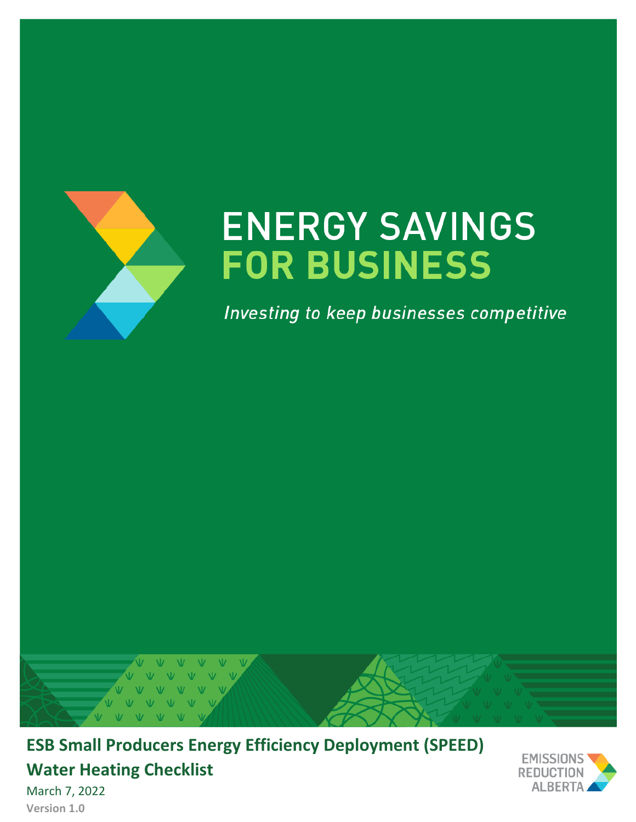

# **ENERGY SAVINGS FOR BUSINESS**

Investing to keep businesses competitive



**ESB Small Producers Energy Efficiency Deployment (SPEED) Water Heating Checklist**



March 7, 2022 **Version 1.0**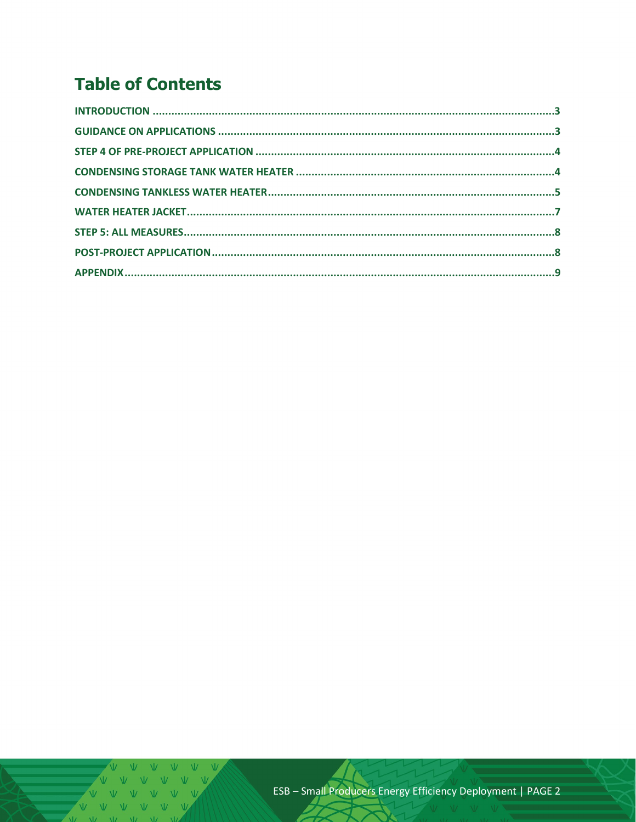## **Table of Contents**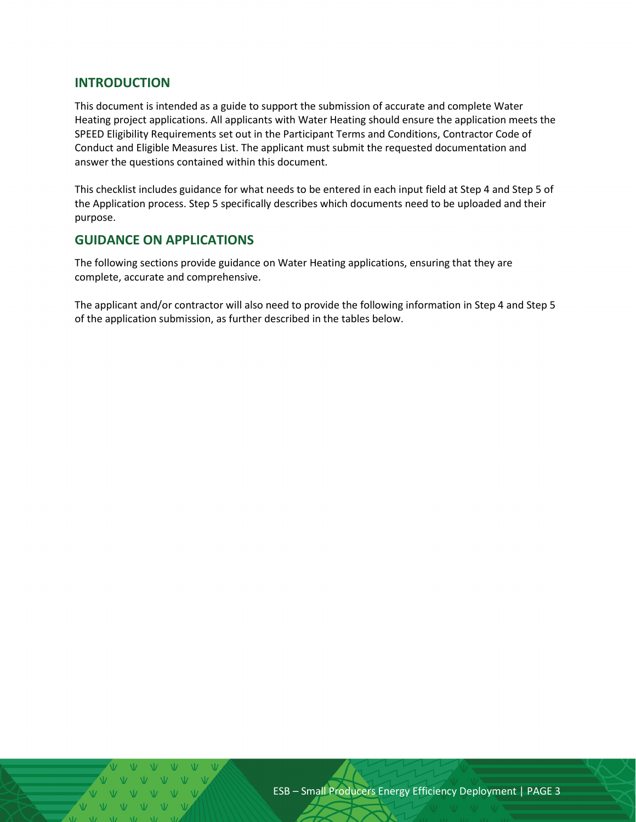#### <span id="page-2-0"></span>**INTRODUCTION**

This document is intended as a guide to support the submission of accurate and complete Water Heating project applications. All applicants with Water Heating should ensure the application meets the SPEED Eligibility Requirements set out in the Participant Terms and Conditions, Contractor Code of Conduct and Eligible Measures List. The applicant must submit the requested documentation and answer the questions contained within this document.

This checklist includes guidance for what needs to be entered in each input field at Step 4 and Step 5 of the Application process. Step 5 specifically describes which documents need to be uploaded and their purpose.

#### <span id="page-2-1"></span>**GUIDANCE ON APPLICATIONS**

The following sections provide guidance on Water Heating applications, ensuring that they are complete, accurate and comprehensive.

The applicant and/or contractor will also need to provide the following information in Step 4 and Step 5 of the application submission, as further described in the tables below.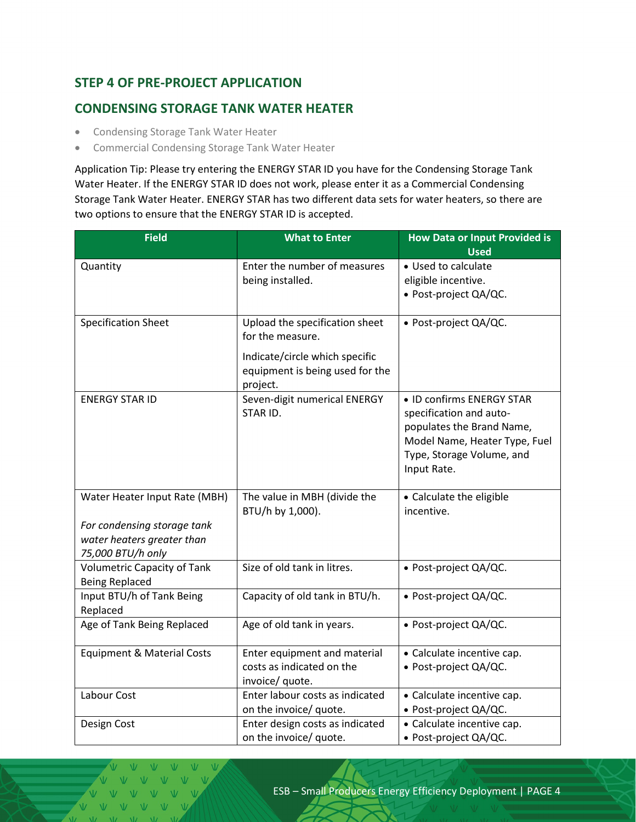#### <span id="page-3-0"></span>**STEP 4 OF PRE-PROJECT APPLICATION**

#### <span id="page-3-1"></span>**CONDENSING STORAGE TANK WATER HEATER**

- Condensing Storage Tank Water Heater
- Commercial Condensing Storage Tank Water Heater

Application Tip: Please try entering the ENERGY STAR ID you have for the Condensing Storage Tank Water Heater. If the ENERGY STAR ID does not work, please enter it as a Commercial Condensing Storage Tank Water Heater. ENERGY STAR has two different data sets for water heaters, so there are two options to ensure that the ENERGY STAR ID is accepted.

| <b>Field</b>                          | <b>What to Enter</b>            | <b>How Data or Input Provided is</b> |  |
|---------------------------------------|---------------------------------|--------------------------------------|--|
|                                       |                                 | <b>Used</b>                          |  |
| Quantity                              | Enter the number of measures    | • Used to calculate                  |  |
|                                       | being installed.                | eligible incentive.                  |  |
|                                       |                                 | • Post-project QA/QC.                |  |
| <b>Specification Sheet</b>            | Upload the specification sheet  | · Post-project QA/QC.                |  |
|                                       | for the measure.                |                                      |  |
|                                       | Indicate/circle which specific  |                                      |  |
|                                       | equipment is being used for the |                                      |  |
|                                       | project.                        |                                      |  |
| <b>ENERGY STAR ID</b>                 | Seven-digit numerical ENERGY    | • ID confirms ENERGY STAR            |  |
|                                       | STAR ID.                        | specification and auto-              |  |
|                                       |                                 | populates the Brand Name,            |  |
|                                       |                                 | Model Name, Heater Type, Fuel        |  |
|                                       |                                 | Type, Storage Volume, and            |  |
|                                       |                                 | Input Rate.                          |  |
|                                       |                                 |                                      |  |
| Water Heater Input Rate (MBH)         | The value in MBH (divide the    | • Calculate the eligible             |  |
|                                       | BTU/h by 1,000).                | incentive.                           |  |
| For condensing storage tank           |                                 |                                      |  |
| water heaters greater than            |                                 |                                      |  |
| 75,000 BTU/h only                     |                                 |                                      |  |
| <b>Volumetric Capacity of Tank</b>    | Size of old tank in litres.     | • Post-project QA/QC.                |  |
| <b>Being Replaced</b>                 |                                 |                                      |  |
| Input BTU/h of Tank Being             | Capacity of old tank in BTU/h.  | · Post-project QA/QC.                |  |
| Replaced                              |                                 |                                      |  |
| Age of Tank Being Replaced            | Age of old tank in years.       | · Post-project QA/QC.                |  |
| <b>Equipment &amp; Material Costs</b> | Enter equipment and material    | • Calculate incentive cap.           |  |
|                                       | costs as indicated on the       | • Post-project QA/QC.                |  |
|                                       | invoice/ quote.                 |                                      |  |
| Labour Cost                           | Enter labour costs as indicated | • Calculate incentive cap.           |  |
|                                       | on the invoice/ quote.          | · Post-project QA/QC.                |  |
| Design Cost                           | Enter design costs as indicated | • Calculate incentive cap.           |  |
|                                       | on the invoice/ quote.          | · Post-project QA/QC.                |  |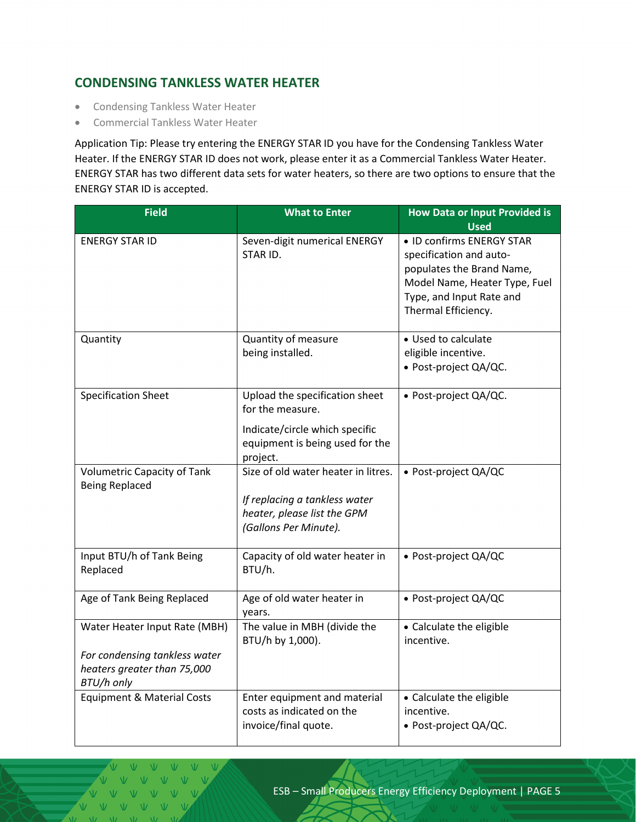#### <span id="page-4-0"></span>**CONDENSING TANKLESS WATER HEATER**

- Condensing Tankless Water Heater
- Commercial Tankless Water Heater

Application Tip: Please try entering the ENERGY STAR ID you have for the Condensing Tankless Water Heater. If the ENERGY STAR ID does not work, please enter it as a Commercial Tankless Water Heater. ENERGY STAR has two different data sets for water heaters, so there are two options to ensure that the ENERGY STAR ID is accepted.

| <b>Field</b>                                                                                                | <b>What to Enter</b>                                                                                                                     | <b>How Data or Input Provided is</b><br><b>Used</b>                                                                                                                   |  |
|-------------------------------------------------------------------------------------------------------------|------------------------------------------------------------------------------------------------------------------------------------------|-----------------------------------------------------------------------------------------------------------------------------------------------------------------------|--|
| <b>ENERGY STAR ID</b>                                                                                       | Seven-digit numerical ENERGY<br>STAR ID.                                                                                                 | • ID confirms ENERGY STAR<br>specification and auto-<br>populates the Brand Name,<br>Model Name, Heater Type, Fuel<br>Type, and Input Rate and<br>Thermal Efficiency. |  |
| Quantity                                                                                                    | Quantity of measure<br>being installed.                                                                                                  | • Used to calculate<br>eligible incentive.<br>· Post-project QA/QC.                                                                                                   |  |
| <b>Specification Sheet</b>                                                                                  | Upload the specification sheet<br>for the measure.<br>Indicate/circle which specific<br>equipment is being used for the                  | · Post-project QA/QC.                                                                                                                                                 |  |
| <b>Volumetric Capacity of Tank</b><br><b>Being Replaced</b>                                                 | project.<br>Size of old water heater in litres.<br>If replacing a tankless water<br>heater, please list the GPM<br>(Gallons Per Minute). | · Post-project QA/QC                                                                                                                                                  |  |
| Input BTU/h of Tank Being<br>Replaced                                                                       | Capacity of old water heater in<br>BTU/h.                                                                                                | • Post-project QA/QC                                                                                                                                                  |  |
| Age of Tank Being Replaced                                                                                  | Age of old water heater in<br>years.                                                                                                     | · Post-project QA/QC                                                                                                                                                  |  |
| Water Heater Input Rate (MBH)<br>For condensing tankless water<br>heaters greater than 75,000<br>BTU/h only | The value in MBH (divide the<br>BTU/h by 1,000).                                                                                         | • Calculate the eligible<br>incentive.                                                                                                                                |  |
| <b>Equipment &amp; Material Costs</b>                                                                       | Enter equipment and material<br>costs as indicated on the<br>invoice/final quote.                                                        | • Calculate the eligible<br>incentive.<br>· Post-project QA/QC.                                                                                                       |  |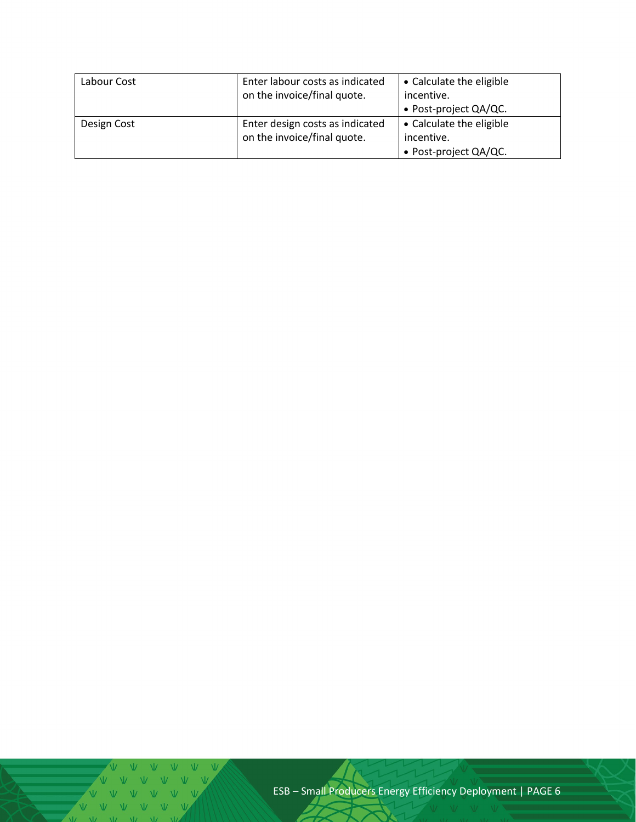| Labour Cost | Enter labour costs as indicated<br>on the invoice/final quote. | • Calculate the eligible<br>incentive.<br>• Post-project QA/QC. |
|-------------|----------------------------------------------------------------|-----------------------------------------------------------------|
| Design Cost | Enter design costs as indicated<br>on the invoice/final quote. | • Calculate the eligible<br>incentive.<br>• Post-project QA/QC. |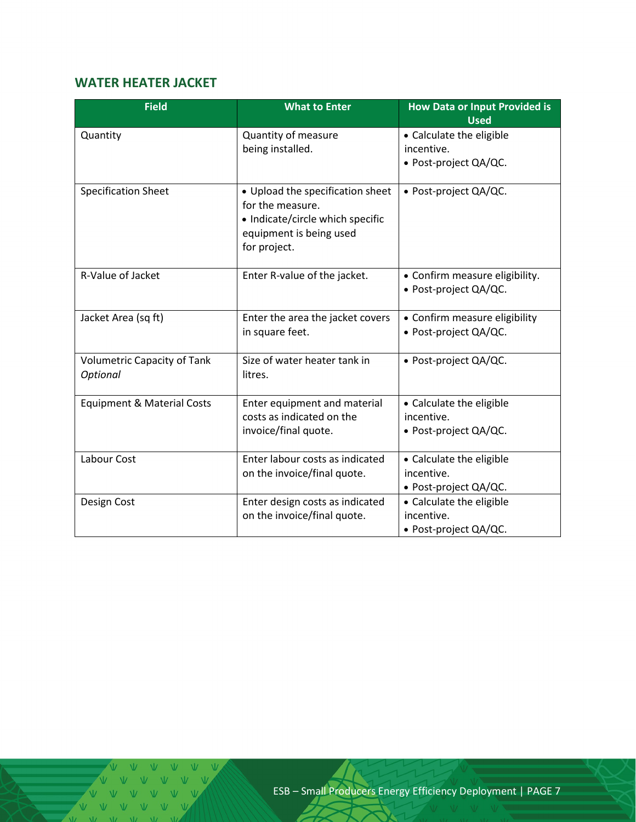### <span id="page-6-0"></span>**WATER HEATER JACKET**

| <b>Field</b>                                   | <b>What to Enter</b>                                                                                                                | <b>How Data or Input Provided is</b><br><b>Used</b>             |  |
|------------------------------------------------|-------------------------------------------------------------------------------------------------------------------------------------|-----------------------------------------------------------------|--|
| Quantity                                       | Quantity of measure<br>being installed.                                                                                             | • Calculate the eligible<br>incentive.<br>· Post-project QA/QC. |  |
| <b>Specification Sheet</b>                     | • Upload the specification sheet<br>for the measure.<br>• Indicate/circle which specific<br>equipment is being used<br>for project. | • Post-project QA/QC.                                           |  |
| R-Value of Jacket                              | Enter R-value of the jacket.                                                                                                        | • Confirm measure eligibility.<br>· Post-project QA/QC.         |  |
| Jacket Area (sq ft)                            | Enter the area the jacket covers<br>in square feet.                                                                                 | • Confirm measure eligibility<br>· Post-project QA/QC.          |  |
| <b>Volumetric Capacity of Tank</b><br>Optional | Size of water heater tank in<br>litres.                                                                                             | • Post-project QA/QC.                                           |  |
| <b>Equipment &amp; Material Costs</b>          | Enter equipment and material<br>costs as indicated on the<br>invoice/final quote.                                                   | • Calculate the eligible<br>incentive.<br>• Post-project QA/QC. |  |
| Labour Cost                                    | Enter labour costs as indicated<br>on the invoice/final quote.                                                                      | • Calculate the eligible<br>incentive.<br>• Post-project QA/QC. |  |
| Design Cost                                    | Enter design costs as indicated<br>on the invoice/final quote.                                                                      | • Calculate the eligible<br>incentive.<br>• Post-project QA/QC. |  |

A A A A A A A A  $W = W - W$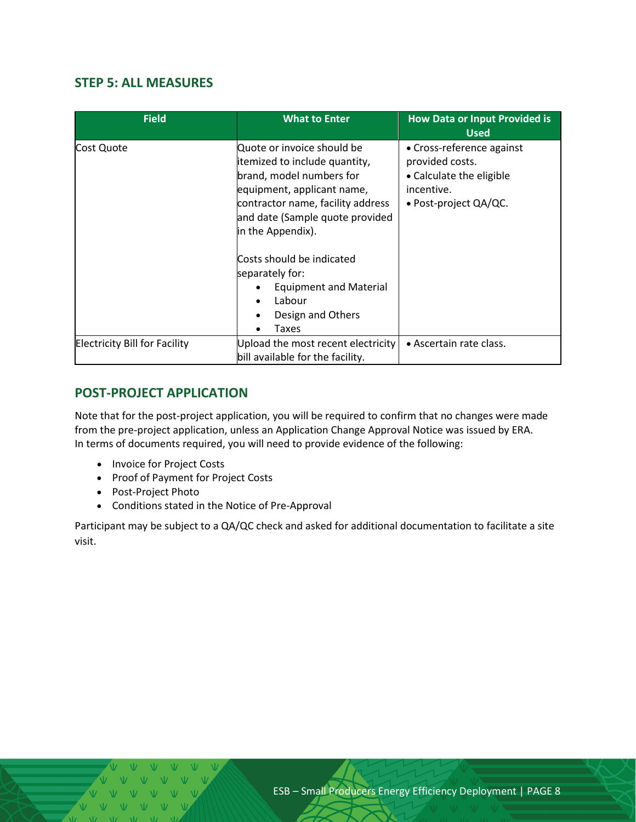#### <span id="page-7-0"></span>**STEP 5: ALL MEASURES**

| <b>Field</b>                         | <b>What to Enter</b>                                                                                                                                                                                                                                                                                                                        | <b>How Data or Input Provided is</b><br><b>Used</b>                                                                     |  |
|--------------------------------------|---------------------------------------------------------------------------------------------------------------------------------------------------------------------------------------------------------------------------------------------------------------------------------------------------------------------------------------------|-------------------------------------------------------------------------------------------------------------------------|--|
| Cost Quote                           | Quote or invoice should be<br>itemized to include quantity,<br>brand, model numbers for<br>equipment, applicant name,<br>contractor name, facility address<br>and date (Sample quote provided<br>in the Appendix).<br>Costs should be indicated<br>separately for:<br><b>Equipment and Material</b><br>Labour<br>Design and Others<br>Taxes | • Cross-reference against<br>provided costs.<br>• Calculate the eligible<br>incentive.<br>$\bullet$ Post-project QA/QC. |  |
| <b>Electricity Bill for Facility</b> | Upload the most recent electricity<br>bill available for the facility.                                                                                                                                                                                                                                                                      | • Ascertain rate class.                                                                                                 |  |

#### <span id="page-7-1"></span>**POST-PROJECT APPLICATION**

Note that for the post-project application, you will be required to confirm that no changes were made from the pre-project application, unless an Application Change Approval Notice was issued by ERA. In terms of documents required, you will need to provide evidence of the following:

- Invoice for Project Costs
- Proof of Payment for Project Costs
- Post-Project Photo
- Conditions stated in the Notice of Pre-Approval

Participant may be subject to a QA/QC check and asked for additional documentation to facilitate a site visit.